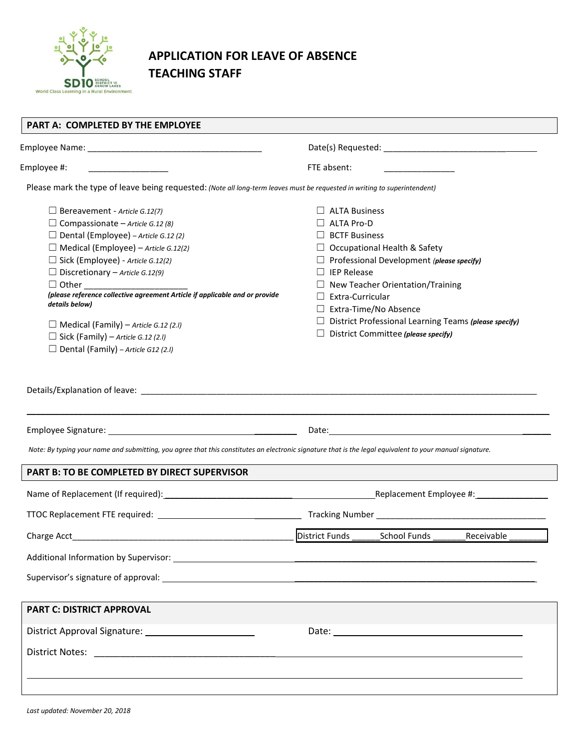

## **APPLICATION FOR LEAVE OF ABSENCE TEACHING STAFF**

| PART A: COMPLETED BY THE EMPLOYEE                                                                                                                                                                                                  |                                                              |  |  |
|------------------------------------------------------------------------------------------------------------------------------------------------------------------------------------------------------------------------------------|--------------------------------------------------------------|--|--|
|                                                                                                                                                                                                                                    |                                                              |  |  |
| Employee #:                                                                                                                                                                                                                        | FTE absent:                                                  |  |  |
| Please mark the type of leave being requested: (Note all long-term leaves must be requested in writing to superintendent)                                                                                                          |                                                              |  |  |
| $\Box$ Bereavement - Article G.12(7)                                                                                                                                                                                               | $\Box$ ALTA Business                                         |  |  |
| $\Box$ Compassionate – Article G.12 (8)                                                                                                                                                                                            | $\Box$ ALTA Pro-D                                            |  |  |
| $\Box$ Dental (Employee) - Article G.12 (2)                                                                                                                                                                                        | $\Box$ BCTF Business                                         |  |  |
| $\Box$ Medical (Employee) – Article G.12(2)                                                                                                                                                                                        | $\Box$ Occupational Health & Safety                          |  |  |
| $\Box$ Sick (Employee) - Article G.12(2)                                                                                                                                                                                           | $\Box$ Professional Development (please specify)             |  |  |
| $\Box$ Discretionary – Article G.12(9)                                                                                                                                                                                             | $\Box$ IEP Release                                           |  |  |
| □ Other _______________________                                                                                                                                                                                                    | $\Box$ New Teacher Orientation/Training                      |  |  |
| (please reference collective agreement Article if applicable and or provide<br>details below)                                                                                                                                      | $\Box$ Extra-Curricular                                      |  |  |
|                                                                                                                                                                                                                                    | $\Box$ Extra-Time/No Absence                                 |  |  |
| $\Box$ Medical (Family) – Article G.12 (2.1)                                                                                                                                                                                       | $\Box$ District Professional Learning Teams (please specify) |  |  |
| $\Box$ Sick (Family) – Article G.12 (2.1)                                                                                                                                                                                          | $\Box$ District Committee (please specify)                   |  |  |
| $\Box$ Dental (Family) – Article G12 (2.1)                                                                                                                                                                                         |                                                              |  |  |
|                                                                                                                                                                                                                                    |                                                              |  |  |
|                                                                                                                                                                                                                                    |                                                              |  |  |
| Note: By typing your name and submitting, you agree that this constitutes an electronic signature that is the legal equivalent to your manual signature.                                                                           |                                                              |  |  |
| PART B: TO BE COMPLETED BY DIRECT SUPERVISOR                                                                                                                                                                                       |                                                              |  |  |
|                                                                                                                                                                                                                                    |                                                              |  |  |
|                                                                                                                                                                                                                                    |                                                              |  |  |
| Charge Acct                                                                                                                                                                                                                        | <b>District Funds</b><br>School Funds<br>Receivable          |  |  |
|                                                                                                                                                                                                                                    |                                                              |  |  |
|                                                                                                                                                                                                                                    |                                                              |  |  |
|                                                                                                                                                                                                                                    |                                                              |  |  |
| <b>PART C: DISTRICT APPROVAL</b>                                                                                                                                                                                                   |                                                              |  |  |
|                                                                                                                                                                                                                                    | Date: <u>Date: Explorer</u>                                  |  |  |
| District Notes: <u>District Notes:</u> Participal Property of the United States of the United States of the United States of the United States of the United States of the United States of the United States of the United States |                                                              |  |  |